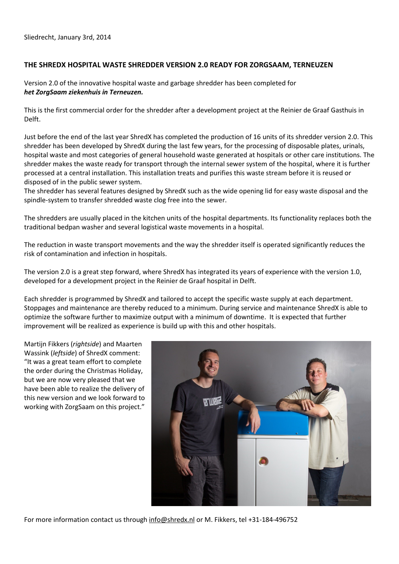## **THE SHREDX HOSPITAL WASTE SHREDDER VERSION 2.0 READY FOR ZORGSAAM, TERNEUZEN**

Version 2.0 of the innovative hospital waste and garbage shredder has been completed for *het ZorgSaam ziekenhuis in Terneuzen.* 

This is the first commercial order for the shredder after a development project at the Reinier de Graaf Gasthuis in Delft.

Just before the end of the last year ShredX has completed the production of 16 units of its shredder version 2.0. This shredder has been developed by ShredX during the last few years, for the processing of disposable plates, urinals, hospital waste and most categories of general household waste generated at hospitals or other care institutions. The shredder makes the waste ready for transport through the internal sewer system of the hospital, where it is further processed at a central installation. This installation treats and purifies this waste stream before it is reused or disposed of in the public sewer system.

The shredder has several features designed by ShredX such as the wide opening lid for easy waste disposal and the spindle-system to transfer shredded waste clog free into the sewer.

The shredders are usually placed in the kitchen units of the hospital departments. Its functionality replaces both the traditional bedpan washer and several logistical waste movements in a hospital.

The reduction in waste transport movements and the way the shredder itself is operated significantly reduces the risk of contamination and infection in hospitals.

The version 2.0 is a great step forward, where ShredX has integrated its years of experience with the version 1.0, developed for a development project in the Reinier de Graaf hospital in Delft.

Each shredder is programmed by ShredX and tailored to accept the specific waste supply at each department. Stoppages and maintenance are thereby reduced to a minimum. During service and maintenance ShredX is able to optimize the software further to maximize output with a minimum of downtime. It is expected that further improvement will be realized as experience is build up with this and other hospitals.

Martijn Fikkers (*rightside*) and Maarten Wassink (*leftside*) of ShredX comment: "It was a great team effort to complete the order during the Christmas Holiday, but we are now very pleased that we have been able to realize the delivery of this new version and we look forward to working with ZorgSaam on this project."



For more information contact us through [info@shredx.nl](mailto:info@shredx.nl) or M. Fikkers, tel +31-184-496752